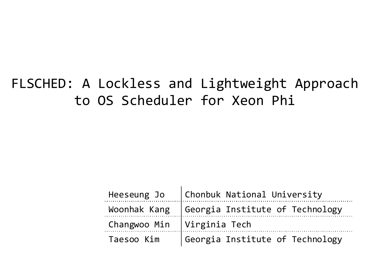## FLSCHED: A Lockless and Lightweight Approach to OS Scheduler for Xeon Phi

|                              | Heeseung Jo $ $ Chonbuk National University    |
|------------------------------|------------------------------------------------|
|                              | Woonhak Kang   Georgia Institute of Technology |
| Changwoo Min   Virginia Tech |                                                |
| Taesoo Kim                   | Georgia Institute of Technology                |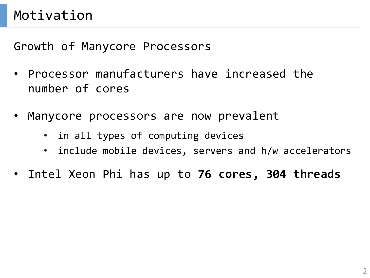Growth of Manycore Processors

- Processor manufacturers have increased the number of cores
- Manycore processors are now prevalent
	- in all types of computing devices
	- include mobile devices, servers and h/w accelerators
- Intel Xeon Phi has up to **76 cores, 304 threads**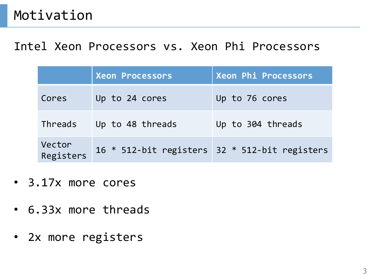#### Intel Xeon Processors vs. Xeon Phi Processors

|                     | <b>Xeon Processors</b>                        | Xeon Phi Processors |  |  |
|---------------------|-----------------------------------------------|---------------------|--|--|
| Cores               | Up to 24 cores                                | Up to 76 cores      |  |  |
| Threads             | Up to 48 threads                              | Up to 304 threads   |  |  |
| Vector<br>Registers | 16 * 512-bit registers 32 * 512-bit registers |                     |  |  |

- 3.17x more cores
- 6.33x more threads
- 2x more registers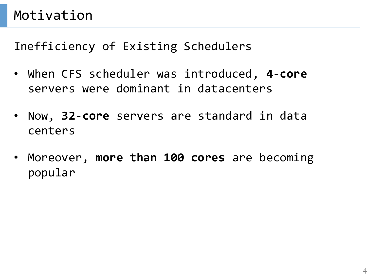- When CFS scheduler was introduced, **4-core**  servers were dominant in datacenters
- Now, **32-core** servers are standard in data centers
- Moreover, **more than 100 cores** are becoming popular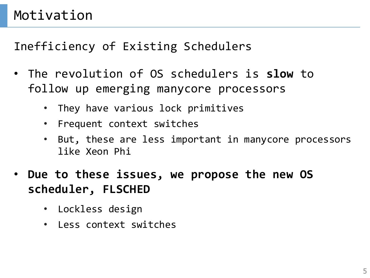- The revolution of OS schedulers is **slow** to follow up emerging manycore processors
	- They have various lock primitives
	- Frequent context switches
	- But, these are less important in manycore processors like Xeon Phi
- **Due to these issues, we propose the new OS scheduler, FLSCHED**
	- Lockless design
	- Less context switches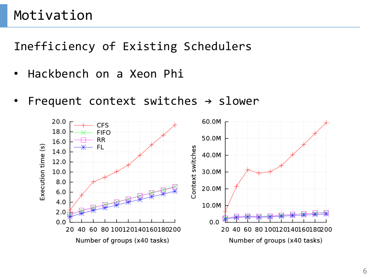- Hackbench on a Xeon Phi
- Frequent context switches  $\rightarrow$  slower

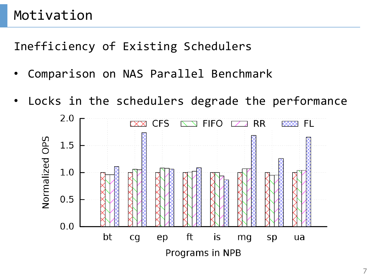- Comparison on NAS Parallel Benchmark
- Locks in the schedulers degrade the performance

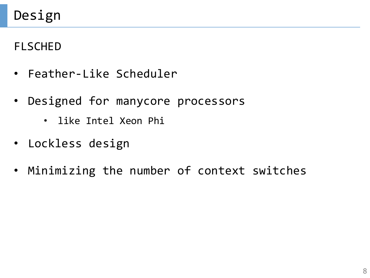#### FLSCHED

- Feather-Like Scheduler
- Designed for manycore processors
	- like Intel Xeon Phi
- Lockless design
- Minimizing the number of context switches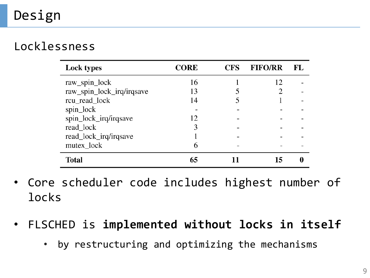# Design

#### Locklessness

| <b>Lock types</b>         | <b>CORE</b> | <b>CFS</b> | <b>FIFO/RR</b> | FL |
|---------------------------|-------------|------------|----------------|----|
| raw_spin_lock             | 16          |            | 12             |    |
| raw_spin_lock_irq/irqsave | 13          |            |                |    |
| rcu_read_lock             | 14          |            |                |    |
| spin_lock                 |             |            |                |    |
| spin_lock_irq/irqsave     | 12          |            |                |    |
| read_lock                 | 3           |            |                |    |
| read_lock_irq/irqsave     |             |            |                |    |
| mutex_lock                | 6           |            |                |    |
| Total                     | 65          |            | 15             |    |

- Core scheduler code includes highest number of locks
- FLSCHED is **implemented without locks in itself**
	- by restructuring and optimizing the mechanisms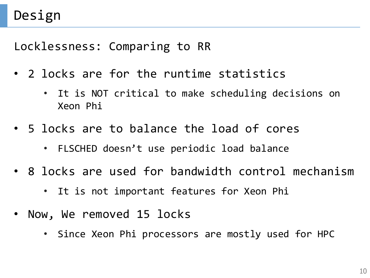Locklessness: Comparing to RR

- 2 locks are for the runtime statistics
	- It is NOT critical to make scheduling decisions on Xeon Phi
- 5 locks are to balance the load of cores
	- FLSCHED doesn't use periodic load balance
- 8 locks are used for bandwidth control mechanism
	- It is not important features for Xeon Phi
- Now, We removed 15 locks
	- Since Xeon Phi processors are mostly used for HPC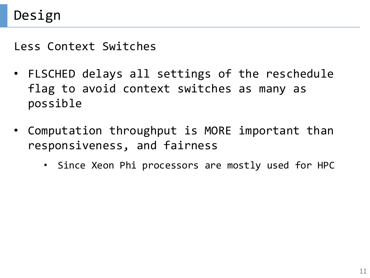Less Context Switches

- FLSCHED delays all settings of the reschedule flag to avoid context switches as many as possible
- Computation throughput is MORE important than responsiveness, and fairness
	- Since Xeon Phi processors are mostly used for HPC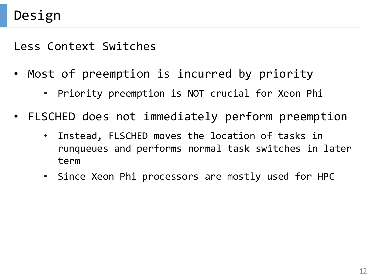Less Context Switches

- Most of preemption is incurred by priority
	- Priority preemption is NOT crucial for Xeon Phi
- FLSCHED does not immediately perform preemption
	- Instead, FLSCHED moves the location of tasks in runqueues and performs normal task switches in later term
	- Since Xeon Phi processors are mostly used for HPC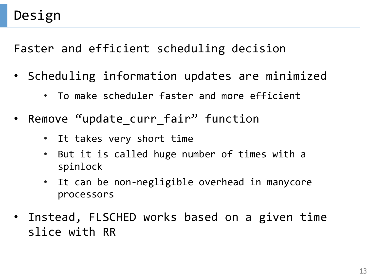Faster and efficient scheduling decision

- Scheduling information updates are minimized
	- To make scheduler faster and more efficient
- Remove "update\_curr\_fair" function
	- It takes very short time
	- But it is called huge number of times with a spinlock
	- It can be non-negligible overhead in manycore processors
- Instead, FLSCHED works based on a given time slice with RR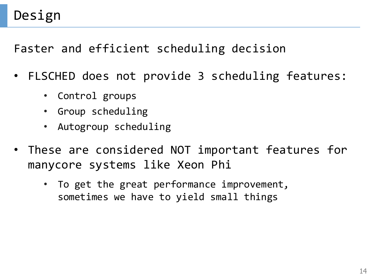Faster and efficient scheduling decision

- FLSCHED does not provide 3 scheduling features:
	- Control groups
	- Group scheduling
	- Autogroup scheduling
- These are considered NOT important features for manycore systems like Xeon Phi
	- To get the great performance improvement, sometimes we have to yield small things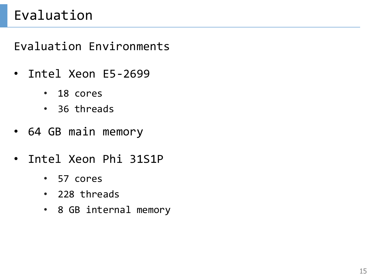## Evaluation

Evaluation Environments

- Intel Xeon E5-2699
	- 18 cores
	- 36 threads
- 64 GB main memory
- Intel Xeon Phi 31S1P
	- 57 cores
	- 228 threads
	- 8 GB internal memory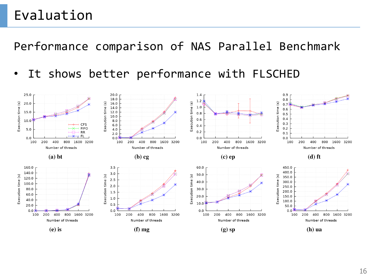## Evaluation

Performance comparison of NAS Parallel Benchmark

• It shows better performance with FLSCHED

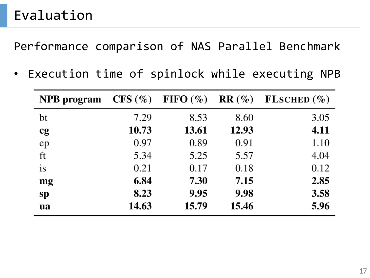Performance comparison of NAS Parallel Benchmark

• Execution time of spinlock while executing NPB

| <b>NPB</b> program | $CFS(\%)$ | FIFO $(\% )$ | $RR(\%)$ | FLSCHED $(\% )$ |
|--------------------|-----------|--------------|----------|-----------------|
| bt                 | 7.29      | 8.53         | 8.60     | 3.05            |
| cg                 | 10.73     | 13.61        | 12.93    | 4.11            |
| ep                 | 0.97      | 0.89         | 0.91     | 1.10            |
| ft                 | 5.34      | 5.25         | 5.57     | 4.04            |
| is                 | 0.21      | 0.17         | 0.18     | 0.12            |
| mg                 | 6.84      | 7.30         | 7.15     | 2.85            |
| sp                 | 8.23      | 9.95         | 9.98     | 3.58            |
| <b>ua</b>          | 14.63     | 15.79        | 15.46    | 5.96            |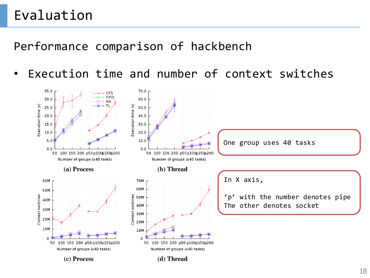## Evaluation

#### Performance comparison of hackbench

Execution time and number of context switches

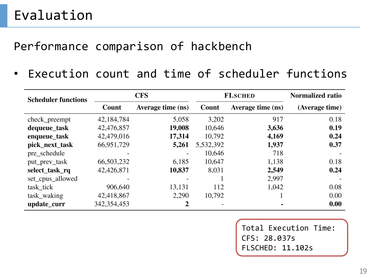#### Performance comparison of hackbench

• Execution count and time of scheduler functions

| <b>Scheduler functions</b> | <b>CFS</b>    |                   | <b>FLSCHED</b> |                   | Normalized ratio |
|----------------------------|---------------|-------------------|----------------|-------------------|------------------|
|                            | Count         | Average time (ns) | Count          | Average time (ns) | (Average time)   |
| check_preempt              | 42,184,784    | 5,058             | 3,202          | 917               | 0.18             |
| dequeue_task               | 42,476,857    | 19,008            | 10,646         | 3,636             | 0.19             |
| enqueue_task               | 42,479,016    | 17,314            | 10,792         | 4,169             | 0.24             |
| pick_next_task             | 66,951,729    | 5,261             | 5,532,392      | 1,937             | 0.37             |
| pre_schedule               |               |                   | 10,646         | 718               |                  |
| put_prev_task              | 66,503,232    | 6,185             | 10,647         | 1,138             | 0.18             |
| select_task_rq             | 42,426,871    | 10,837            | 8,031          | 2,549             | 0.24             |
| set_cpus_allowed           |               |                   |                | 2,997             |                  |
| task_tick                  | 906,640       | 13,131            | 112            | 1,042             | 0.08             |
| task_waking                | 42,418,867    | 2,290             | 10,792         |                   | 0.00             |
| update_curr                | 342, 354, 453 |                   |                |                   | 0.00             |

Total Execution Time: CFS: 28.037s FLSCHED: 11.102s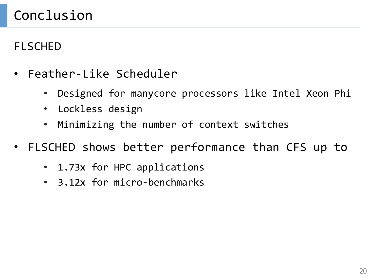# Conclusion

#### FLSCHED

- Feather-Like Scheduler
	- Designed for manycore processors like Intel Xeon Phi
	- Lockless design
	- Minimizing the number of context switches
- FLSCHED shows better performance than CFS up to
	- 1.73x for HPC applications
	- 3.12x for micro-benchmarks